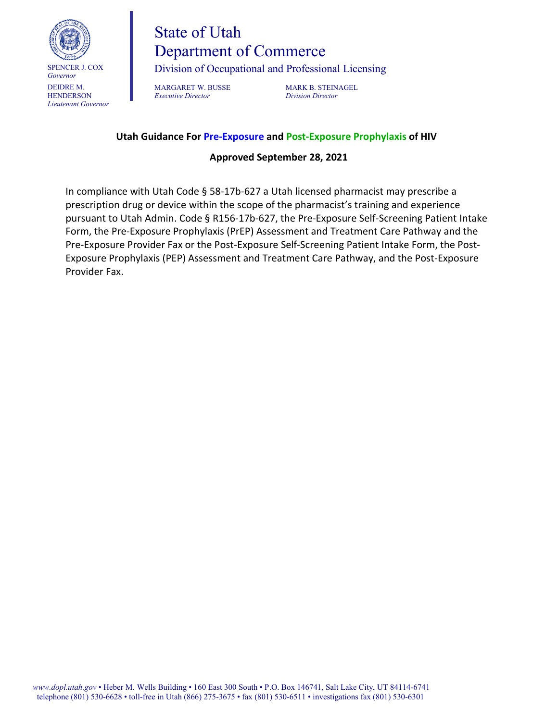

*Governor* DEIDRE M. **HENDERSON** *Lieutenant Governor*

# State of Utah Department of Commerce

Division of Occupational and Professional Licensing

MARGARET W. BUSSE MARK B. STEINAGEL<br>
Executive Director Division Director *Executive Director Division Director*

#### **Utah Guidance For Pre-Exposure and Post-Exposure Prophylaxis of HIV**

#### **Approved September 28, 2021**

In compliance with Utah Code § 58-17b-627 a Utah licensed pharmacist may prescribe a prescription drug or device within the scope of the pharmacist's training and experience pursuant to Utah Admin. Code § R156-17b-627, the Pre-Exposure Self-Screening Patient Intake Form, the Pre-Exposure Prophylaxis (PrEP) Assessment and Treatment Care Pathway and the Pre-Exposure Provider Fax or the Post-Exposure Self-Screening Patient Intake Form, the Post-Exposure Prophylaxis (PEP) Assessment and Treatment Care Pathway, and the Post-Exposure Provider Fax.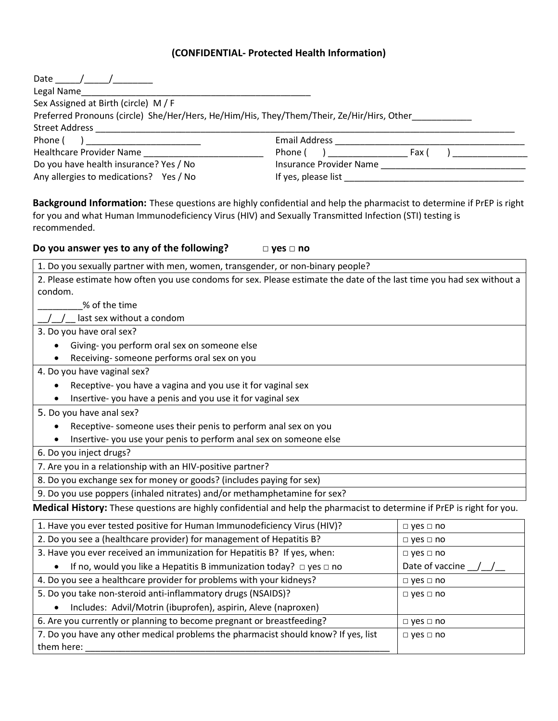#### **(CONFIDENTIAL- Protected Health Information)**

| Date                                                                                      |                         |
|-------------------------------------------------------------------------------------------|-------------------------|
| Legal Name                                                                                |                         |
| Sex Assigned at Birth (circle) M/F                                                        |                         |
| Preferred Pronouns (circle) She/Her/Hers, He/Him/His, They/Them/Their, Ze/Hir/Hirs, Other |                         |
| <b>Street Address</b>                                                                     |                         |
| Phone (                                                                                   | <b>Email Address</b>    |
| <b>Healthcare Provider Name</b>                                                           | Phone (<br>Fax I        |
| Do you have health insurance? Yes / No                                                    | Insurance Provider Name |
| Any allergies to medications? Yes / No                                                    | If yes, please list     |

**Background Information:** These questions are highly confidential and help the pharmacist to determine if PrEP is right for you and what Human Immunodeficiency Virus (HIV) and Sexually Transmitted Infection (STI) testing is recommended.

**Do you answer yes to any of the following? □ yes □ no**

| 1. Do you sexually partner with men, women, transgender, or non-binary people?                                          |                               |
|-------------------------------------------------------------------------------------------------------------------------|-------------------------------|
| 2. Please estimate how often you use condoms for sex. Please estimate the date of the last time you had sex without a   |                               |
| condom.                                                                                                                 |                               |
| % of the time                                                                                                           |                               |
| last sex without a condom                                                                                               |                               |
| 3. Do you have oral sex?                                                                                                |                               |
| Giving-you perform oral sex on someone else                                                                             |                               |
| Receiving-someone performs oral sex on you                                                                              |                               |
| 4. Do you have vaginal sex?                                                                                             |                               |
| Receptive-you have a vagina and you use it for vaginal sex                                                              |                               |
| Insertive-you have a penis and you use it for vaginal sex                                                               |                               |
| 5. Do you have anal sex?                                                                                                |                               |
| Receptive- someone uses their penis to perform anal sex on you                                                          |                               |
| Insertive-you use your penis to perform anal sex on someone else                                                        |                               |
| 6. Do you inject drugs?                                                                                                 |                               |
| 7. Are you in a relationship with an HIV-positive partner?                                                              |                               |
| 8. Do you exchange sex for money or goods? (includes paying for sex)                                                    |                               |
| 9. Do you use poppers (inhaled nitrates) and/or methamphetamine for sex?                                                |                               |
| Medical History: These questions are highly confidential and help the pharmacist to determine if PrEP is right for you. |                               |
| 1. Have you ever tested positive for Human Immunodeficiency Virus (HIV)?                                                | $\Box$ yes $\Box$ no          |
| 2. Do you see a (healthcare provider) for management of Hepatitis B?                                                    | $\Box$ yes $\Box$ no          |
| 3. Have you ever received an immunization for Hepatitis B? If yes, when:                                                | $\Box$ yes $\Box$ no          |
| <b>A</b> If no would you like a Henatitic R immunization today? $\Box$ yes $\Box$ no                                    | Date of vaccine $\frac{1}{1}$ |

| If no, would you like a Hepatitis B immunization today? $\Box$ yes $\Box$ no       | Date of vaccine      |
|------------------------------------------------------------------------------------|----------------------|
| 4. Do you see a healthcare provider for problems with your kidneys?                | $\Box$ yes $\Box$ no |
| 5. Do you take non-steroid anti-inflammatory drugs (NSAIDS)?                       | $\Box$ yes $\Box$ no |
| Includes: Advil/Motrin (ibuprofen), aspirin, Aleve (naproxen)<br>$\bullet$         |                      |
| 6. Are you currently or planning to become pregnant or breastfeeding?              | $\Box$ yes $\Box$ no |
| 7. Do you have any other medical problems the pharmacist should know? If yes, list | $\Box$ yes $\Box$ no |
| them here:                                                                         |                      |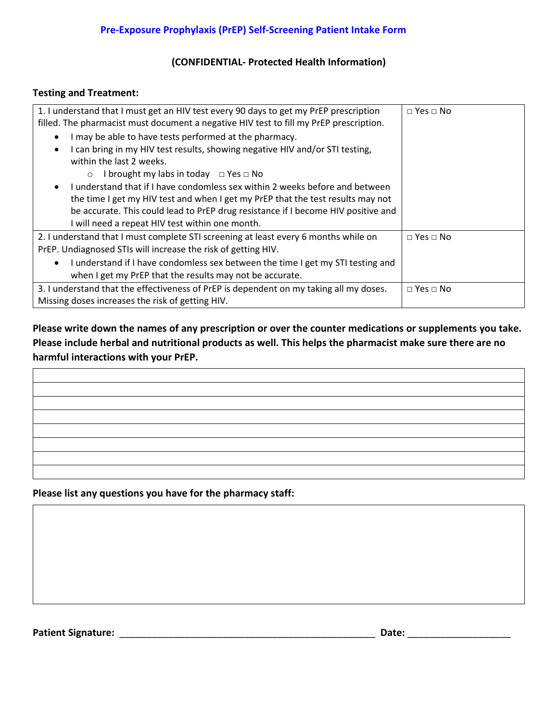#### **(CONFIDENTIAL- Protected Health Information)**

#### **Testing and Treatment:**

| 1. I understand that I must get an HIV test every 90 days to get my PrEP prescription        | $\Box$ Yes $\Box$ No |
|----------------------------------------------------------------------------------------------|----------------------|
| filled. The pharmacist must document a negative HIV test to fill my PrEP prescription.       |                      |
| I may be able to have tests performed at the pharmacy.<br>$\bullet$                          |                      |
| I can bring in my HIV test results, showing negative HIV and/or STI testing,                 |                      |
| within the last 2 weeks.                                                                     |                      |
| I brought my labs in today $\Box$ Yes $\Box$ No<br>$\circ$                                   |                      |
| I understand that if I have condomless sex within 2 weeks before and between<br>$\bullet$    |                      |
| the time I get my HIV test and when I get my PrEP that the test results may not              |                      |
| be accurate. This could lead to PrEP drug resistance if I become HIV positive and            |                      |
| I will need a repeat HIV test within one month.                                              |                      |
| 2. I understand that I must complete STI screening at least every 6 months while on          | $\Box$ Yes $\Box$ No |
| PrEP. Undiagnosed STIs will increase the risk of getting HIV.                                |                      |
| I understand if I have condomless sex between the time I get my STI testing and<br>$\bullet$ |                      |
| when I get my PrEP that the results may not be accurate.                                     |                      |
| 3. I understand that the effectiveness of PrEP is dependent on my taking all my doses.       | $\Box$ Yes $\Box$ No |
| Missing doses increases the risk of getting HIV.                                             |                      |

**Please write down the names of any prescription or over the counter medications or supplements you take. Please include herbal and nutritional products as well. This helps the pharmacist make sure there are no harmful interactions with your PrEP.** 

**Please list any questions you have for the pharmacy staff:** 

**Patient Signature:** \_\_\_\_\_\_\_\_\_\_\_\_\_\_\_\_\_\_\_\_\_\_\_\_\_\_\_\_\_\_\_\_\_\_\_\_\_\_\_\_\_\_\_\_\_\_\_ **Date:** \_\_\_\_\_\_\_\_\_\_\_\_\_\_\_\_\_\_\_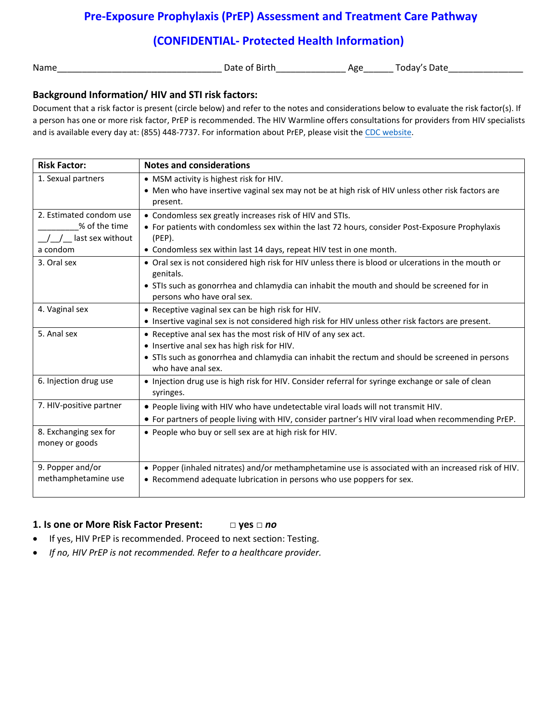# **(CONFIDENTIAL- Protected Health Information)**

Name\_\_\_\_\_\_\_\_\_\_\_\_\_\_\_\_\_\_\_\_\_\_\_\_\_\_\_\_\_\_\_\_\_ Date of Birth\_\_\_\_\_\_\_\_\_\_\_\_\_\_ Age\_\_\_\_\_\_ Today's Date\_\_\_\_\_\_\_\_\_\_\_\_\_\_\_

#### **Background Information/ HIV and STI risk factors:**

Document that a risk factor is present (circle below) and refer to the notes and considerations below to evaluate the risk factor(s). If a person has one or more risk factor, PrEP is recommended. The HIV Warmline offers consultations for providers from HIV specialists and is available every day at: (855) 448-7737. For information about PrEP, please visit the [CDC website.](https://www.cdc.gov/hiv/risk/prep/)

| <b>Risk Factor:</b>     | <b>Notes and considerations</b>                                                                                       |
|-------------------------|-----------------------------------------------------------------------------------------------------------------------|
| 1. Sexual partners      | • MSM activity is highest risk for HIV.                                                                               |
|                         | • Men who have insertive vaginal sex may not be at high risk of HIV unless other risk factors are                     |
|                         | present.                                                                                                              |
| 2. Estimated condom use | • Condomless sex greatly increases risk of HIV and STIs.                                                              |
| % of the time           | • For patients with condomless sex within the last 72 hours, consider Post-Exposure Prophylaxis                       |
| last sex without        | $(PEP)$ .                                                                                                             |
| a condom                | • Condomless sex within last 14 days, repeat HIV test in one month.                                                   |
| 3. Oral sex             | • Oral sex is not considered high risk for HIV unless there is blood or ulcerations in the mouth or                   |
|                         | genitals.<br>• STIs such as gonorrhea and chlamydia can inhabit the mouth and should be screened for in               |
|                         | persons who have oral sex.                                                                                            |
| 4. Vaginal sex          | • Receptive vaginal sex can be high risk for HIV.                                                                     |
|                         | • Insertive vaginal sex is not considered high risk for HIV unless other risk factors are present.                    |
| 5. Anal sex             | • Receptive anal sex has the most risk of HIV of any sex act.                                                         |
|                         | • Insertive anal sex has high risk for HIV.                                                                           |
|                         | • STIs such as gonorrhea and chlamydia can inhabit the rectum and should be screened in persons<br>who have anal sex. |
| 6. Injection drug use   | • Injection drug use is high risk for HIV. Consider referral for syringe exchange or sale of clean                    |
|                         | syringes.                                                                                                             |
| 7. HIV-positive partner | . People living with HIV who have undetectable viral loads will not transmit HIV.                                     |
|                         | • For partners of people living with HIV, consider partner's HIV viral load when recommending PrEP.                   |
| 8. Exchanging sex for   | • People who buy or sell sex are at high risk for HIV.                                                                |
| money or goods          |                                                                                                                       |
|                         |                                                                                                                       |
| 9. Popper and/or        | . Popper (inhaled nitrates) and/or methamphetamine use is associated with an increased risk of HIV.                   |
| methamphetamine use     | • Recommend adequate lubrication in persons who use poppers for sex.                                                  |
|                         |                                                                                                                       |

#### **1. Is one or More Risk Factor Present: □ yes □** *no*

- If yes, HIV PrEP is recommended. Proceed to next section: Testing.
- *If no, HIV PrEP is not recommended. Refer to a healthcare provider.*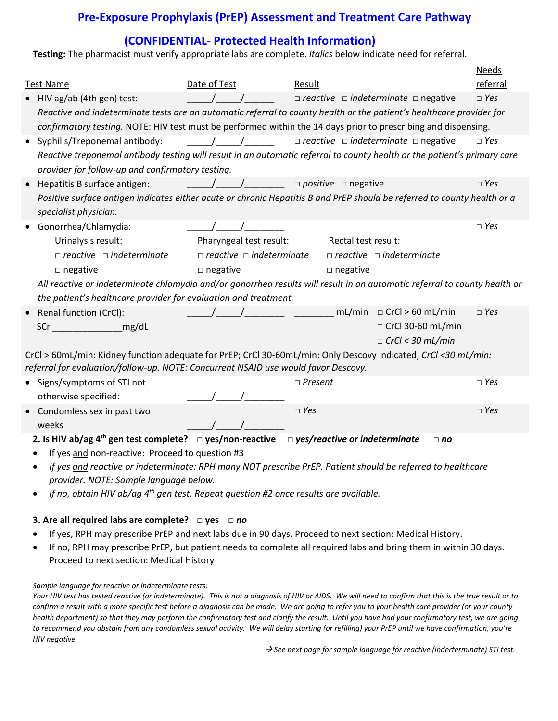# **(CONFIDENTIAL- Protected Health Information)**

**Testing:** The pharmacist must verify appropriate labs are complete. *Italics* below indicate need for referral.

|           |                                                                                                                           |                                               |                |                                                      |                         | <b>Needs</b> |
|-----------|---------------------------------------------------------------------------------------------------------------------------|-----------------------------------------------|----------------|------------------------------------------------------|-------------------------|--------------|
|           | <b>Test Name</b>                                                                                                          | Date of Test                                  | Result         |                                                      |                         | referral     |
|           | • HIV ag/ab (4th gen) test:                                                                                               |                                               |                | $\Box$ reactive $\Box$ indeterminate $\Box$ negative |                         | $\Box$ Yes   |
|           | Reactive and indeterminate tests are an automatic referral to county health or the patient's healthcare provider for      |                                               |                |                                                      |                         |              |
|           | confirmatory testing. NOTE: HIV test must be performed within the 14 days prior to prescribing and dispensing.            |                                               |                |                                                      |                         |              |
| $\bullet$ | Syphilis/Treponemal antibody:                                                                                             | $\frac{1}{2}$                                 |                | $\Box$ reactive $\Box$ indeterminate $\Box$ negative |                         | $\Box$ Yes   |
|           | Reactive treponemal antibody testing will result in an automatic referral to county health or the patient's primary care  |                                               |                |                                                      |                         |              |
|           | provider for follow-up and confirmatory testing.                                                                          |                                               |                |                                                      |                         |              |
|           | Hepatitis B surface antigen:                                                                                              | <u>____/____/______</u> □ positive □ negative |                |                                                      |                         | $\Box$ Yes   |
|           | Positive surface antigen indicates either acute or chronic Hepatitis B and PrEP should be referred to county health or a  |                                               |                |                                                      |                         |              |
|           | specialist physician.                                                                                                     |                                               |                |                                                      |                         |              |
|           | Gonorrhea/Chlamydia:                                                                                                      |                                               |                |                                                      |                         | $\Box$ Yes   |
|           | Urinalysis result:                                                                                                        | Pharyngeal test result:                       |                | Rectal test result:                                  |                         |              |
|           | $\Box$ reactive $\Box$ indeterminate                                                                                      | $\Box$ reactive $\Box$ indeterminate          |                | $\Box$ reactive $\Box$ indeterminate                 |                         |              |
|           | $\square$ negative                                                                                                        | $\square$ negative                            |                | $\Box$ negative                                      |                         |              |
|           | All reactive or indeterminate chlamydia and/or gonorrhea results will result in an automatic referral to county health or |                                               |                |                                                      |                         |              |
|           | the patient's healthcare provider for evaluation and treatment.                                                           |                                               |                |                                                      |                         |              |
|           | Renal function (CrCl):                                                                                                    |                                               |                | $mL/min \quad \Box$ CrCl > 60 mL/min                 |                         | $\Box$ Yes   |
|           | SCr mg/dL                                                                                                                 |                                               |                |                                                      | □ CrCl 30-60 mL/min     |              |
|           |                                                                                                                           |                                               |                |                                                      | $\Box$ CrCl < 30 mL/min |              |
|           | CrCl > 60mL/min: Kidney function adequate for PrEP; CrCl 30-60mL/min: Only Descovy indicated; CrCl <30 mL/min:            |                                               |                |                                                      |                         |              |
|           | referral for evaluation/follow-up. NOTE: Concurrent NSAID use would favor Descovy.                                        |                                               |                |                                                      |                         |              |
|           | • Signs/symptoms of STI not                                                                                               |                                               | $\Box$ Present |                                                      |                         | $\Box$ Yes   |
|           | otherwise specified:                                                                                                      |                                               |                |                                                      |                         |              |
|           | Condomless sex in past two                                                                                                |                                               | $\Box$ Yes     |                                                      |                         | $\Box$ Yes   |
|           | weeks                                                                                                                     |                                               |                |                                                      |                         |              |
|           | 2. Is HIV ab/ag $4^{th}$ gen test complete? $\Box$ yes/non-reactive $\Box$ yes/reactive or indeterminate                  |                                               |                |                                                      | $\Box$ no               |              |
|           | If yes and non-reactive: Proceed to question #3                                                                           |                                               |                |                                                      |                         |              |
|           | If yes and reactive or indeterminate: RPH many NOT prescribe PrEP. Patient should be referred to healthcare               |                                               |                |                                                      |                         |              |

- *provider. NOTE: Sample language below.*
- *If no, obtain HIV ab/ag 4th gen test. Repeat question #2 once results are available.*

#### **3. Are all required labs are complete? □ yes □** *no*

- If yes, RPH may prescribe PrEP and next labs due in 90 days. Proceed to next section: Medical History.
- If no, RPH may prescribe PrEP, but patient needs to complete all required labs and bring them in within 30 days. Proceed to next section: Medical History

#### *Sample language for reactive or indeterminate tests:*

*Your HIV test has tested reactive (or indeterminate). This is not a diagnosis of HIV or AIDS. We will need to confirm that this is the true result or to confirm a result with a more specific test before a diagnosis can be made. We are going to refer you to your health care provider (or your county health department) so that they may perform the confirmatory test and clarify the result. Until you have had your confirmatory test, we are going to recommend you abstain from any condomless sexual activity. We will delay starting (or refilling) your PrEP until we have confirmation, you're HIV negative.* 

*See next page for sample language for reactive (inderterminate) STI test.*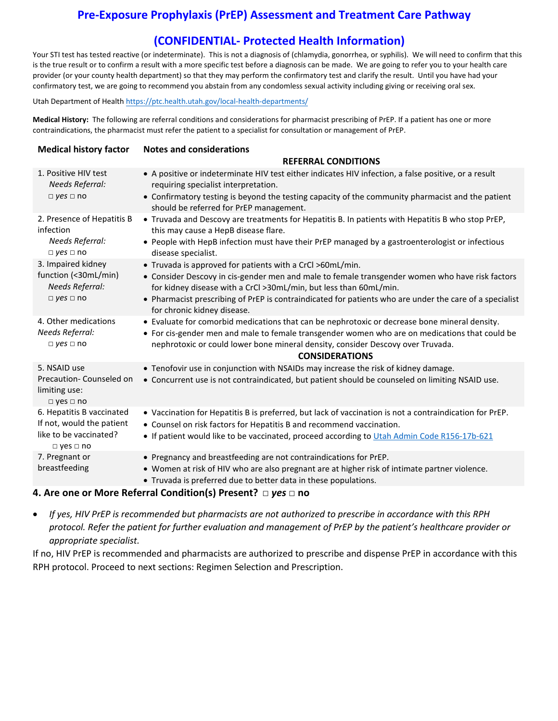# **(CONFIDENTIAL- Protected Health Information)**

Your STI test has tested reactive (or indeterminate). This is not a diagnosis of (chlamydia, gonorrhea, or syphilis). We will need to confirm that this is the true result or to confirm a result with a more specific test before a diagnosis can be made. We are going to refer you to your health care provider (or your county health department) so that they may perform the confirmatory test and clarify the result. Until you have had your confirmatory test, we are going to recommend you abstain from any condomless sexual activity including giving or receiving oral sex.

Utah Department of Health <https://ptc.health.utah.gov/local-health-departments/>

**Medical History:** The following are referral conditions and considerations for pharmacist prescribing of PrEP. If a patient has one or more contraindications, the pharmacist must refer the patient to a specialist for consultation or management of PrEP.

| <b>Medical history factor</b>                                                                            | <b>Notes and considerations</b>                                                                                                                                                                                                                                                                                                                                             |  |  |  |
|----------------------------------------------------------------------------------------------------------|-----------------------------------------------------------------------------------------------------------------------------------------------------------------------------------------------------------------------------------------------------------------------------------------------------------------------------------------------------------------------------|--|--|--|
|                                                                                                          | <b>REFERRAL CONDITIONS</b>                                                                                                                                                                                                                                                                                                                                                  |  |  |  |
| 1. Positive HIV test<br>Needs Referral:<br>$\neg$ yes $\Box$ no                                          | • A positive or indeterminate HIV test either indicates HIV infection, a false positive, or a result<br>requiring specialist interpretation.<br>• Confirmatory testing is beyond the testing capacity of the community pharmacist and the patient<br>should be referred for PrEP management.                                                                                |  |  |  |
| 2. Presence of Hepatitis B<br>infection<br>Needs Referral:<br>$\Box$ yes $\Box$ no                       | • Truvada and Descovy are treatments for Hepatitis B. In patients with Hepatitis B who stop PrEP,<br>this may cause a HepB disease flare.<br>• People with HepB infection must have their PrEP managed by a gastroenterologist or infectious<br>disease specialist.                                                                                                         |  |  |  |
| 3. Impaired kidney<br>function (<30mL/min)<br><b>Needs Referral:</b><br>$\Box$ yes $\Box$ no             | • Truvada is approved for patients with a CrCl >60mL/min.<br>• Consider Descovy in cis-gender men and male to female transgender women who have risk factors<br>for kidney disease with a CrCl >30mL/min, but less than 60mL/min.<br>• Pharmacist prescribing of PrEP is contraindicated for patients who are under the care of a specialist<br>for chronic kidney disease. |  |  |  |
| 4. Other medications<br>Needs Referral:<br>$\Box$ yes $\Box$ no                                          | • Evaluate for comorbid medications that can be nephrotoxic or decrease bone mineral density.<br>• For cis-gender men and male to female transgender women who are on medications that could be<br>nephrotoxic or could lower bone mineral density, consider Descovy over Truvada.<br><b>CONSIDERATIONS</b>                                                                 |  |  |  |
| 5. NSAID use<br>Precaution-Counseled on<br>limiting use:<br>$\Box$ yes $\Box$ no                         | • Tenofovir use in conjunction with NSAIDs may increase the risk of kidney damage.<br>• Concurrent use is not contraindicated, but patient should be counseled on limiting NSAID use.                                                                                                                                                                                       |  |  |  |
| 6. Hepatitis B vaccinated<br>If not, would the patient<br>like to be vaccinated?<br>$\Box$ yes $\Box$ no | . Vaccination for Hepatitis B is preferred, but lack of vaccination is not a contraindication for PrEP.<br>• Counsel on risk factors for Hepatitis B and recommend vaccination.<br>• If patient would like to be vaccinated, proceed according to Utah Admin Code R156-17b-621                                                                                              |  |  |  |
| 7. Pregnant or<br>breastfeeding                                                                          | • Pregnancy and breastfeeding are not contraindications for PrEP.<br>• Women at risk of HIV who are also pregnant are at higher risk of intimate partner violence.<br>• Truvada is preferred due to better data in these populations.                                                                                                                                       |  |  |  |

#### **4. Are one or More Referral Condition(s) Present? □** *yes* **□ no**

• *If yes, HIV PrEP is recommended but pharmacists are not authorized to prescribe in accordance with this RPH protocol. Refer the patient for further evaluation and management of PrEP by the patient's healthcare provider or appropriate specialist.*

If no, HIV PrEP is recommended and pharmacists are authorized to prescribe and dispense PrEP in accordance with this RPH protocol. Proceed to next sections: Regimen Selection and Prescription.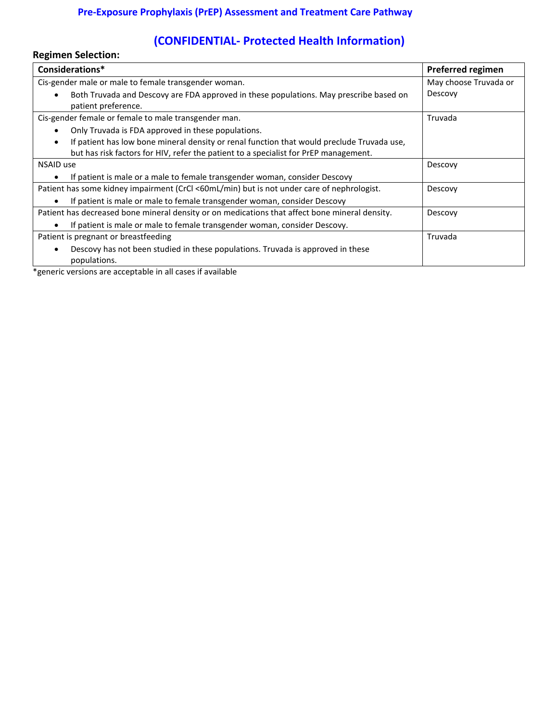# **(CONFIDENTIAL- Protected Health Information)**

| <b>Regimen Selection:</b>                                                                                     |                          |  |
|---------------------------------------------------------------------------------------------------------------|--------------------------|--|
| Considerations*                                                                                               | <b>Preferred regimen</b> |  |
| Cis-gender male or male to female transgender woman.                                                          | May choose Truvada or    |  |
| Both Truvada and Descovy are FDA approved in these populations. May prescribe based on<br>patient preference. | Descovy                  |  |
| Cis-gender female or female to male transgender man.                                                          | Truvada                  |  |
| Only Truvada is FDA approved in these populations.                                                            |                          |  |
| If patient has low bone mineral density or renal function that would preclude Truvada use,                    |                          |  |
| but has risk factors for HIV, refer the patient to a specialist for PrEP management.                          |                          |  |
| NSAID use                                                                                                     | Descovy                  |  |
| If patient is male or a male to female transgender woman, consider Descovy                                    |                          |  |
| Patient has some kidney impairment (CrCl <60mL/min) but is not under care of nephrologist.                    | Descovy                  |  |
| If patient is male or male to female transgender woman, consider Descovy                                      |                          |  |
| Patient has decreased bone mineral density or on medications that affect bone mineral density.                | Descovy                  |  |
| If patient is male or male to female transgender woman, consider Descovy.                                     |                          |  |
| Patient is pregnant or breastfeeding                                                                          | Truvada                  |  |
| Descovy has not been studied in these populations. Truvada is approved in these<br>populations.               |                          |  |

\*generic versions are acceptable in all cases if available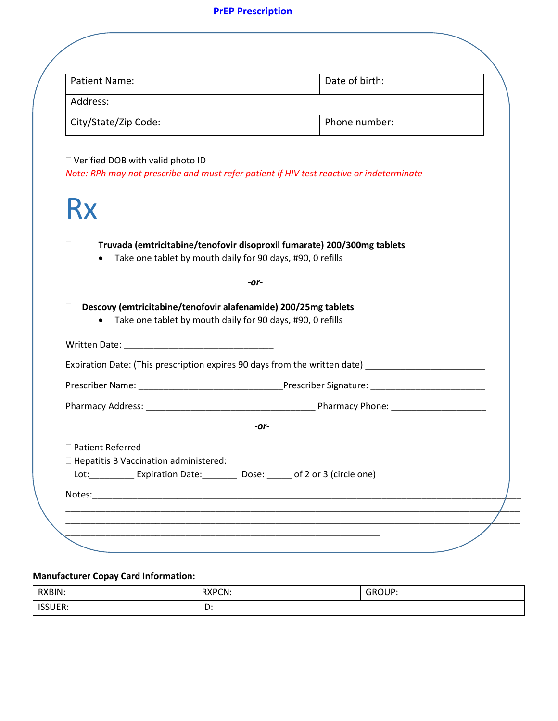# **PrEP Prescription**

| <b>Patient Name:</b>                                                    | Date of birth:                                                                                                                        |
|-------------------------------------------------------------------------|---------------------------------------------------------------------------------------------------------------------------------------|
| Address:                                                                |                                                                                                                                       |
| City/State/Zip Code:                                                    | Phone number:                                                                                                                         |
| $\Box$ Verified DOB with valid photo ID<br>Rx                           | Note: RPh may not prescribe and must refer patient if HIV test reactive or indeterminate                                              |
| $\Box$                                                                  | Truvada (emtricitabine/tenofovir disoproxil fumarate) 200/300mg tablets<br>Take one tablet by mouth daily for 90 days, #90, 0 refills |
|                                                                         | -or-                                                                                                                                  |
| П                                                                       | Descovy (emtricitabine/tenofovir alafenamide) 200/25mg tablets<br>• Take one tablet by mouth daily for 90 days, #90, 0 refills        |
|                                                                         | Expiration Date: (This prescription expires 90 days from the written date) ________________________                                   |
|                                                                         |                                                                                                                                       |
|                                                                         |                                                                                                                                       |
|                                                                         | -or-                                                                                                                                  |
| $\Box$ Patient Referred<br>$\Box$ Hepatitis B Vaccination administered: | Lot: Expiration Date: Dose: of 2 or 3 (circle one)                                                                                    |
|                                                                         |                                                                                                                                       |

### **Manufacturer Copay Card Information:**

| RXBIN:         | <b>RXPCN:</b>                             | CDO11D    |
|----------------|-------------------------------------------|-----------|
|                | $\sim$ $\sim$ $\sim$ $\sim$ $\sim$ $\sim$ | <u>UI</u> |
| IED<br>אסטכנו. | $\overline{1}$<br>.שו                     |           |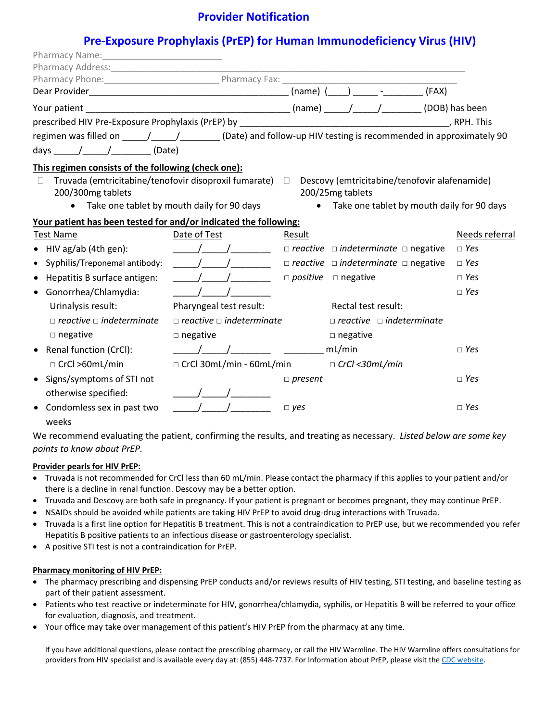# **Provider Notification**

# **Pre-Exposure Prophylaxis (PrEP) for Human Immunodeficiency Virus (HIV)**

|                                                                                                                                                                                                                                                                                                                                                                                                                                                                                                                                      |                                                   |                | $(name)$ $($ $)$ $-$<br>(FAX)                                                                                   |                |
|--------------------------------------------------------------------------------------------------------------------------------------------------------------------------------------------------------------------------------------------------------------------------------------------------------------------------------------------------------------------------------------------------------------------------------------------------------------------------------------------------------------------------------------|---------------------------------------------------|----------------|-----------------------------------------------------------------------------------------------------------------|----------------|
|                                                                                                                                                                                                                                                                                                                                                                                                                                                                                                                                      |                                                   |                |                                                                                                                 |                |
|                                                                                                                                                                                                                                                                                                                                                                                                                                                                                                                                      |                                                   |                |                                                                                                                 | , RPH. This    |
| regimen was filled on _____/_____/________(Date) and follow-up HIV testing is recommended in approximately 90<br>days $\frac{1}{\sqrt{1-\frac{1}{1-\frac{1}{1-\frac{1}{1-\frac{1}{1-\frac{1}{1-\frac{1}{1-\frac{1}{1-\frac{1}{1-\frac{1}{1-\frac{1}{1-\frac{1}{1-\frac{1}{1-\frac{1}{1-\frac{1}{1-\frac{1}{1-\frac{1}{1-\frac{1}{1-\frac{1}{1-\frac{1}{1-\frac{1}{1-\frac{1}{1-\frac{1}{1-\frac{1}{1-\frac{1}{1-\frac{1}{1-\frac{1}{1-\frac{1}{1-\frac{1}{1-\frac{1}{1-\frac{1}{1-\frac{1}{1-\frac{1}{1-\frac{1}{1-\frac{1}{1-\frac$ |                                                   |                |                                                                                                                 |                |
| This regimen consists of the following (check one):<br>Truvada (emtricitabine/tenofovir disoproxil fumarate) □<br>200/300mg tablets                                                                                                                                                                                                                                                                                                                                                                                                  | Take one tablet by mouth daily for 90 days        |                | Descovy (emtricitabine/tenofovir alafenamide)<br>200/25mg tablets<br>Take one tablet by mouth daily for 90 days |                |
| Your patient has been tested for and/or indicated the following:                                                                                                                                                                                                                                                                                                                                                                                                                                                                     |                                                   |                |                                                                                                                 |                |
| <b>Test Name</b>                                                                                                                                                                                                                                                                                                                                                                                                                                                                                                                     | Date of Test                                      | Result         |                                                                                                                 | Needs referral |
| $\bullet$ HIV ag/ab (4th gen):                                                                                                                                                                                                                                                                                                                                                                                                                                                                                                       | $\frac{1}{\sqrt{2}}$                              |                | $\Box$ reactive $\Box$ indeterminate $\Box$ negative                                                            | $\Box$ Yes     |
| Syphilis/Treponemal antibody:<br>$\bullet$                                                                                                                                                                                                                                                                                                                                                                                                                                                                                           | $\sqrt{2}$                                        |                | $\Box$ reactive $\Box$ indeterminate $\Box$ negative                                                            | $\Box$ Yes     |
| Hepatitis B surface antigen:<br>$\bullet$                                                                                                                                                                                                                                                                                                                                                                                                                                                                                            | $\mathcal{L}$ and $\mathcal{L}$ and $\mathcal{L}$ |                | $\Box$ positive $\Box$ negative                                                                                 | $\Box$ Yes     |
| Gonorrhea/Chlamydia:<br>$\bullet$                                                                                                                                                                                                                                                                                                                                                                                                                                                                                                    |                                                   |                |                                                                                                                 | $\Box$ Yes     |
| Urinalysis result:                                                                                                                                                                                                                                                                                                                                                                                                                                                                                                                   | Pharyngeal test result:                           |                | Rectal test result:                                                                                             |                |
| $\Box$ reactive $\Box$ indeterminate                                                                                                                                                                                                                                                                                                                                                                                                                                                                                                 | $\Box$ reactive $\Box$ indeterminate              |                | $\Box$ reactive $\Box$ indeterminate                                                                            |                |
| $\square$ negative                                                                                                                                                                                                                                                                                                                                                                                                                                                                                                                   | $\Box$ negative                                   |                | $\square$ negative                                                                                              |                |
| Renal function (CrCl):<br>$\bullet$                                                                                                                                                                                                                                                                                                                                                                                                                                                                                                  |                                                   |                |                                                                                                                 | $\Box$ Yes     |
| $\Box$ CrCl >60mL/min                                                                                                                                                                                                                                                                                                                                                                                                                                                                                                                | $\Box$ CrCl 30mL/min - 60mL/min                   |                | $\Box$ CrCl <30mL/min                                                                                           |                |
| Signs/symptoms of STI not<br>otherwise specified:                                                                                                                                                                                                                                                                                                                                                                                                                                                                                    |                                                   | $\Box$ present |                                                                                                                 | $\Box$ Yes     |
| Condomless sex in past two<br>weeks                                                                                                                                                                                                                                                                                                                                                                                                                                                                                                  |                                                   | $\Box$ yes     |                                                                                                                 | $\Box$ Yes     |

We recommend evaluating the patient, confirming the results, and treating as necessary. *Listed below are some key points to know about PrEP.*

#### **Provider pearls for HIV PrEP:**

- Truvada is not recommended for CrCl less than 60 mL/min. Please contact the pharmacy if this applies to your patient and/or there is a decline in renal function. Descovy may be a better option.
- Truvada and Descovy are both safe in pregnancy. If your patient is pregnant or becomes pregnant, they may continue PrEP.
- NSAIDs should be avoided while patients are taking HIV PrEP to avoid drug-drug interactions with Truvada.
- Truvada is a first line option for Hepatitis B treatment. This is not a contraindication to PrEP use, but we recommended you refer Hepatitis B positive patients to an infectious disease or gastroenterology specialist.
- A positive STI test is not a contraindication for PrEP.

#### **Pharmacy monitoring of HIV PrEP:**

- The pharmacy prescribing and dispensing PrEP conducts and/or reviews results of HIV testing, STI testing, and baseline testing as part of their patient assessment.
- Patients who test reactive or indeterminate for HIV, gonorrhea/chlamydia, syphilis, or Hepatitis B will be referred to your office for evaluation, diagnosis, and treatment.
- Your office may take over management of this patient's HIV PrEP from the pharmacy at any time.

If you have additional questions, please contact the prescribing pharmacy, or call the HIV Warmline. The HIV Warmline offers consultations for providers from HIV specialist and is available every day at: (855) 448-7737. For Information about PrEP, please visit the [CDC website.](https://www.cdc.gov/hiv/clinicians/prevention/prep.html)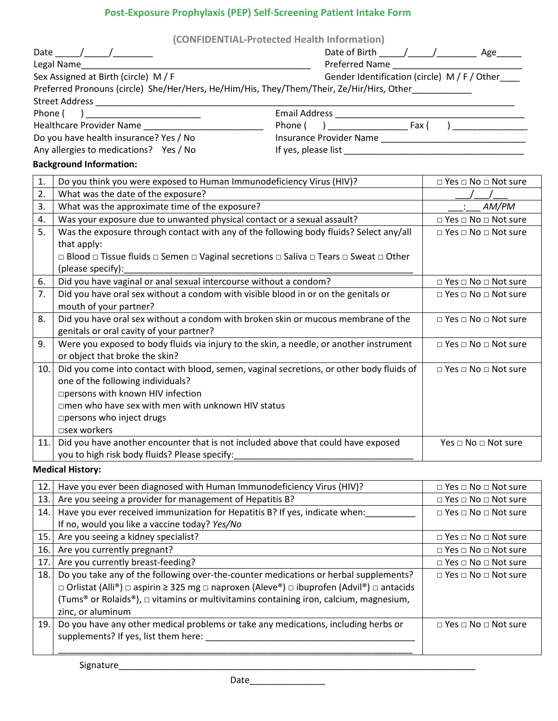# **Post-Exposure Prophylaxis (PEP) Self-Screening Patient Intake Form**

|                                                                                      |                                                                                           | (CONFIDENTIAL-Protected Health Information) |                                      |
|--------------------------------------------------------------------------------------|-------------------------------------------------------------------------------------------|---------------------------------------------|--------------------------------------|
|                                                                                      |                                                                                           |                                             |                                      |
|                                                                                      | Legal Name                                                                                | Preferred Name                              |                                      |
| Gender Identification (circle) M / F / Other<br>Sex Assigned at Birth (circle) M / F |                                                                                           |                                             |                                      |
|                                                                                      | Preferred Pronouns (circle) She/Her/Hers, He/Him/His, They/Them/Their, Ze/Hir/Hirs, Other |                                             |                                      |
|                                                                                      |                                                                                           |                                             |                                      |
|                                                                                      | Phone ( ) ________________________                                                        |                                             |                                      |
|                                                                                      | <b>Healthcare Provider Name</b>                                                           |                                             |                                      |
|                                                                                      | Do you have health insurance? Yes / No                                                    |                                             |                                      |
|                                                                                      | Any allergies to medications? Yes / No                                                    |                                             |                                      |
|                                                                                      | <b>Background Information:</b>                                                            |                                             |                                      |
| 1.                                                                                   | Do you think you were exposed to Human Immunodeficiency Virus (HIV)?                      |                                             | □ Yes □ No □ Not sure                |
| 2.                                                                                   | What was the date of the exposure?                                                        |                                             |                                      |
| 3.                                                                                   | What was the approximate time of the exposure?                                            |                                             | $\therefore$ AM/PM                   |
| 4.                                                                                   | Was your exposure due to unwanted physical contact or a sexual assault?                   |                                             | □ Yes □ No □ Not sure                |
| 5.                                                                                   | Was the exposure through contact with any of the following body fluids? Select any/all    |                                             | $\Box$ Yes $\Box$ No $\Box$ Not sure |
|                                                                                      | that apply:                                                                               |                                             |                                      |
|                                                                                      | □ Blood □ Tissue fluids □ Semen □ Vaginal secretions □ Saliva □ Tears □ Sweat □ Other     |                                             |                                      |
|                                                                                      | (please specify):                                                                         |                                             |                                      |
| 6.                                                                                   | Did you have vaginal or anal sexual intercourse without a condom?                         |                                             | $\Box$ Yes $\Box$ No $\Box$ Not sure |
| 7.                                                                                   | Did you have oral sex without a condom with visible blood in or on the genitals or        |                                             | $\Box$ Yes $\Box$ No $\Box$ Not sure |
|                                                                                      | mouth of your partner?                                                                    |                                             |                                      |
| 8.                                                                                   | Did you have oral sex without a condom with broken skin or mucous membrane of the         |                                             | $\Box$ Yes $\Box$ No $\Box$ Not sure |
|                                                                                      | genitals or oral cavity of your partner?                                                  |                                             |                                      |
| 9.                                                                                   | Were you exposed to body fluids via injury to the skin, a needle, or another instrument   |                                             | □ Yes □ No □ Not sure                |
|                                                                                      | or object that broke the skin?                                                            |                                             |                                      |
| 10.                                                                                  | Did you come into contact with blood, semen, vaginal secretions, or other body fluids of  |                                             | $\Box$ Yes $\Box$ No $\Box$ Not sure |
|                                                                                      | one of the following individuals?                                                         |                                             |                                      |
|                                                                                      | □ persons with known HIV infection                                                        |                                             |                                      |
|                                                                                      | □men who have sex with men with unknown HIV status                                        |                                             |                                      |
|                                                                                      | □ persons who inject drugs                                                                |                                             |                                      |
|                                                                                      | □sex workers                                                                              |                                             |                                      |
| 11.                                                                                  | Did you have another encounter that is not included above that could have exposed         |                                             | Yes □ No □ Not sure                  |
|                                                                                      | you to high risk body fluids? Please specify:                                             |                                             |                                      |
|                                                                                      | <b>Medical History:</b>                                                                   |                                             |                                      |

ory:

| 12. | Have you ever been diagnosed with Human Immunodeficiency Virus (HIV)?                                              | $\Box$ Yes $\Box$ No $\Box$ Not sure |
|-----|--------------------------------------------------------------------------------------------------------------------|--------------------------------------|
| 13. | Are you seeing a provider for management of Hepatitis B?                                                           | $\Box$ Yes $\Box$ No $\Box$ Not sure |
| 14. | Have you ever received immunization for Hepatitis B? If yes, indicate when:                                        | □ Yes □ No □ Not sure                |
|     | If no, would you like a vaccine today? Yes/No                                                                      |                                      |
| 15. | Are you seeing a kidney specialist?                                                                                | $\Box$ Yes $\Box$ No $\Box$ Not sure |
| 16. | Are you currently pregnant?                                                                                        | $\Box$ Yes $\Box$ No $\Box$ Not sure |
| 17. | Are you currently breast-feeding?                                                                                  | $\Box$ Yes $\Box$ No $\Box$ Not sure |
| 18. | Do you take any of the following over-the-counter medications or herbal supplements?                               | $\Box$ Yes $\Box$ No $\Box$ Not sure |
|     | $\Box$ Orlistat (Alli®) $\Box$ aspirin ≥ 325 mg $\Box$ naproxen (Aleve®) $\Box$ ibuprofen (Advil®) $\Box$ antacids |                                      |
|     | (Tums <sup>®</sup> or Rolaids®), $\Box$ vitamins or multivitamins containing iron, calcium, magnesium,             |                                      |
|     | zinc, or aluminum                                                                                                  |                                      |
| 19. | Do you have any other medical problems or take any medications, including herbs or                                 | $\Box$ Yes $\Box$ No $\Box$ Not sure |
|     | supplements? If yes, list them here:                                                                               |                                      |
|     |                                                                                                                    |                                      |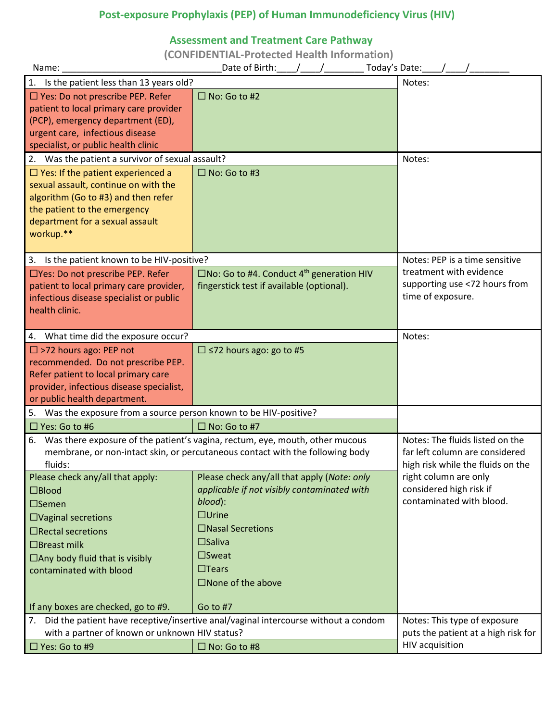# **Post-exposure Prophylaxis (PEP) of Human Immunodeficiency Virus (HIV)**

# **Assessment and Treatment Care Pathway**

**(CONFIDENTIAL-Protected Health Information)**

| Name:                                                                                                                                                                                                                                                            | Today's Date:<br>Date of Birth:                                                                                                                                                                                                              |                                                                               |  |
|------------------------------------------------------------------------------------------------------------------------------------------------------------------------------------------------------------------------------------------------------------------|----------------------------------------------------------------------------------------------------------------------------------------------------------------------------------------------------------------------------------------------|-------------------------------------------------------------------------------|--|
| 1. Is the patient less than 13 years old?<br>Notes:                                                                                                                                                                                                              |                                                                                                                                                                                                                                              |                                                                               |  |
| □ Yes: Do not prescribe PEP. Refer<br>patient to local primary care provider<br>(PCP), emergency department (ED),<br>urgent care, infectious disease<br>specialist, or public health clinic                                                                      | $\Box$ No: Go to #2                                                                                                                                                                                                                          |                                                                               |  |
| 2. Was the patient a survivor of sexual assault?                                                                                                                                                                                                                 |                                                                                                                                                                                                                                              | Notes:                                                                        |  |
| $\Box$ Yes: If the patient experienced a<br>sexual assault, continue on with the<br>algorithm (Go to #3) and then refer<br>the patient to the emergency<br>department for a sexual assault<br>workup.**                                                          | $\Box$ No: Go to #3                                                                                                                                                                                                                          |                                                                               |  |
| 3. Is the patient known to be HIV-positive?                                                                                                                                                                                                                      |                                                                                                                                                                                                                                              | Notes: PEP is a time sensitive                                                |  |
| □Yes: Do not prescribe PEP. Refer<br>patient to local primary care provider,<br>infectious disease specialist or public<br>health clinic.                                                                                                                        | $\square$ No: Go to #4. Conduct 4 <sup>th</sup> generation HIV<br>fingerstick test if available (optional).                                                                                                                                  | treatment with evidence<br>supporting use <72 hours from<br>time of exposure. |  |
| 4. What time did the exposure occur?<br>Notes:                                                                                                                                                                                                                   |                                                                                                                                                                                                                                              |                                                                               |  |
| $\Box$ >72 hours ago: PEP not<br>recommended. Do not prescribe PEP.<br>Refer patient to local primary care<br>provider, infectious disease specialist,<br>or public health department.                                                                           | $\Box$ <72 hours ago: go to #5                                                                                                                                                                                                               |                                                                               |  |
| 5. Was the exposure from a source person known to be HIV-positive?                                                                                                                                                                                               |                                                                                                                                                                                                                                              |                                                                               |  |
| $\Box$ Yes: Go to #6                                                                                                                                                                                                                                             | $\Box$ No: Go to #7                                                                                                                                                                                                                          |                                                                               |  |
| Was there exposure of the patient's vagina, rectum, eye, mouth, other mucous<br>6.<br>membrane, or non-intact skin, or percutaneous contact with the following body<br>fluids:                                                                                   | Notes: The fluids listed on the<br>far left column are considered<br>high risk while the fluids on the                                                                                                                                       |                                                                               |  |
| Please check any/all that apply:<br>$\square$ Blood<br>$\square$ Semen<br>$\Box$ Vaginal secretions<br>$\Box$ Rectal secretions<br>$\Box$ Breast milk<br>$\Box$ Any body fluid that is visibly<br>contaminated with blood<br>If any boxes are checked, go to #9. | Please check any/all that apply (Note: only<br>applicable if not visibly contaminated with<br>blood):<br>$\Box$ Urine<br>□Nasal Secretions<br>$\square$ Saliva<br>$\square$ Sweat<br>$\Box$ Tears<br>$\square$ None of the above<br>Go to #7 | right column are only<br>considered high risk if<br>contaminated with blood.  |  |
|                                                                                                                                                                                                                                                                  | 7. Did the patient have receptive/insertive anal/vaginal intercourse without a condom                                                                                                                                                        | Notes: This type of exposure                                                  |  |
| with a partner of known or unknown HIV status?                                                                                                                                                                                                                   |                                                                                                                                                                                                                                              | puts the patient at a high risk for                                           |  |
| □ Yes: Go to #9                                                                                                                                                                                                                                                  | $\Box$ No: Go to #8                                                                                                                                                                                                                          | HIV acquisition                                                               |  |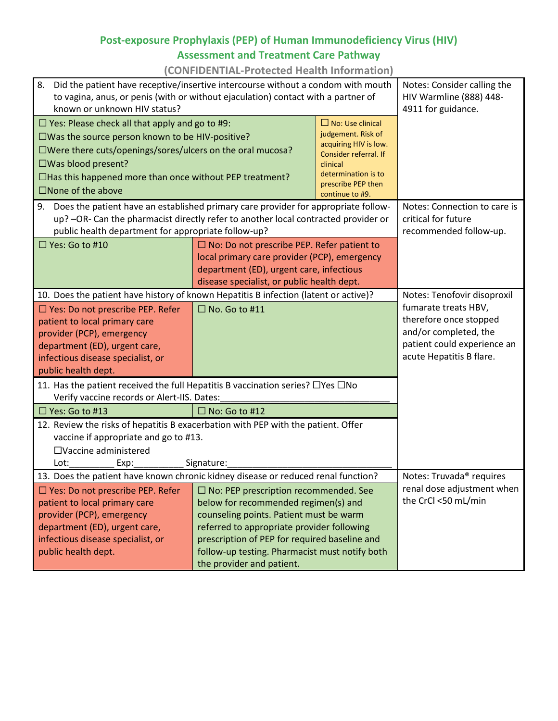# **Post-exposure Prophylaxis (PEP) of Human Immunodeficiency Virus (HIV) Assessment and Treatment Care Pathway**

**(CONFIDENTIAL-Protected Health Information)**

| 8.<br>Did the patient have receptive/insertive intercourse without a condom with mouth<br>to vagina, anus, or penis (with or without ejaculation) contact with a partner of<br>known or unknown HIV status?                                                                                                                |                                                                                                                                                                                                                                                                                                               |  | Notes: Consider calling the<br>HIV Warmline (888) 448-<br>4911 for guidance.                                                                                      |
|----------------------------------------------------------------------------------------------------------------------------------------------------------------------------------------------------------------------------------------------------------------------------------------------------------------------------|---------------------------------------------------------------------------------------------------------------------------------------------------------------------------------------------------------------------------------------------------------------------------------------------------------------|--|-------------------------------------------------------------------------------------------------------------------------------------------------------------------|
| $\Box$ Yes: Please check all that apply and go to #9:<br>$\square$ Was the source person known to be HIV-positive?<br>$\square$ Were there cuts/openings/sores/ulcers on the oral mucosa?<br>$\square$ Was blood present?<br>$\Box$ Has this happened more than once without PEP treatment?<br>$\square$ None of the above | $\Box$ No: Use clinical<br>judgement. Risk of<br>acquiring HIV is low.<br>Consider referral. If<br>clinical<br>determination is to<br>prescribe PEP then<br>continue to #9.                                                                                                                                   |  |                                                                                                                                                                   |
| 9. Does the patient have an established primary care provider for appropriate follow-<br>up? -OR- Can the pharmacist directly refer to another local contracted provider or<br>public health department for appropriate follow-up?                                                                                         |                                                                                                                                                                                                                                                                                                               |  | Notes: Connection to care is<br>critical for future<br>recommended follow-up.                                                                                     |
| $\Box$ Yes: Go to #10                                                                                                                                                                                                                                                                                                      | $\Box$ No: Do not prescribe PEP. Refer patient to<br>local primary care provider (PCP), emergency<br>department (ED), urgent care, infectious<br>disease specialist, or public health dept.                                                                                                                   |  |                                                                                                                                                                   |
| 10. Does the patient have history of known Hepatitis B infection (latent or active)?<br>$\Box$ Yes: Do not prescribe PEP. Refer<br>patient to local primary care<br>provider (PCP), emergency<br>department (ED), urgent care,<br>infectious disease specialist, or<br>public health dept.                                 | $\Box$ No. Go to #11                                                                                                                                                                                                                                                                                          |  | Notes: Tenofovir disoproxil<br>fumarate treats HBV,<br>therefore once stopped<br>and/or completed, the<br>patient could experience an<br>acute Hepatitis B flare. |
| 11. Has the patient received the full Hepatitis B vaccination series? □ Yes □ No<br>Verify vaccine records or Alert-IIS. Dates:                                                                                                                                                                                            |                                                                                                                                                                                                                                                                                                               |  |                                                                                                                                                                   |
| $\Box$ No: Go to #12<br>$\Box$ Yes: Go to #13<br>12. Review the risks of hepatitis B exacerbation with PEP with the patient. Offer<br>vaccine if appropriate and go to #13.<br>$\Box$ Vaccine administered<br>Signature:<br>Lot:<br>Exp:                                                                                   |                                                                                                                                                                                                                                                                                                               |  |                                                                                                                                                                   |
| 13. Does the patient have known chronic kidney disease or reduced renal function?<br>Notes: Truvada <sup>®</sup> requires                                                                                                                                                                                                  |                                                                                                                                                                                                                                                                                                               |  |                                                                                                                                                                   |
| $\Box$ Yes: Do not prescribe PEP. Refer<br>patient to local primary care<br>provider (PCP), emergency<br>department (ED), urgent care,<br>infectious disease specialist, or<br>public health dept.                                                                                                                         | $\Box$ No: PEP prescription recommended. See<br>below for recommended regimen(s) and<br>counseling points. Patient must be warm<br>referred to appropriate provider following<br>prescription of PEP for required baseline and<br>follow-up testing. Pharmacist must notify both<br>the provider and patient. |  | renal dose adjustment when<br>the CrCl <50 mL/min                                                                                                                 |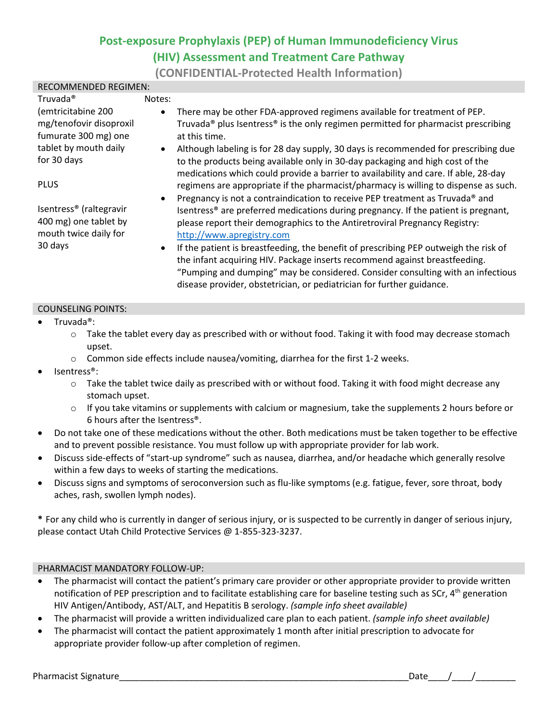# **Post-exposure Prophylaxis (PEP) of Human Immunodeficiency Virus (HIV) Assessment and Treatment Care Pathway**

**(CONFIDENTIAL-Protected Health Information)**

| RECOMMENDED REGIMEN:                |           |                                                                                                           |
|-------------------------------------|-----------|-----------------------------------------------------------------------------------------------------------|
| Truvada <sup>®</sup>                | Notes:    |                                                                                                           |
| (emtricitabine 200                  | $\bullet$ | There may be other FDA-approved regimens available for treatment of PEP.                                  |
| mg/tenofovir disoproxil             |           | Truvada <sup>®</sup> plus Isentress <sup>®</sup> is the only regimen permitted for pharmacist prescribing |
| fumurate 300 mg) one                |           | at this time.                                                                                             |
| tablet by mouth daily               | $\bullet$ | Although labeling is for 28 day supply, 30 days is recommended for prescribing due                        |
| for 30 days                         |           | to the products being available only in 30-day packaging and high cost of the                             |
|                                     |           | medications which could provide a barrier to availability and care. If able, 28-day                       |
| <b>PLUS</b>                         |           | regimens are appropriate if the pharmacist/pharmacy is willing to dispense as such.                       |
|                                     | $\bullet$ | Pregnancy is not a contraindication to receive PEP treatment as Truvada® and                              |
| Isentress <sup>®</sup> (raltegravir |           | Isentress <sup>®</sup> are preferred medications during pregnancy. If the patient is pregnant,            |
| 400 mg) one tablet by               |           | please report their demographics to the Antiretroviral Pregnancy Registry:                                |
| mouth twice daily for               |           | http://www.apregistry.com                                                                                 |
| 30 days                             | $\bullet$ | If the patient is breastfeeding, the benefit of prescribing PEP outweigh the risk of                      |
|                                     |           | the infant acquiring HIV. Package inserts recommend against breastfeeding.                                |
|                                     |           | "Pumping and dumping" may be considered. Consider consulting with an infectious                           |
|                                     |           | disease provider, obstetrician, or pediatrician for further guidance.                                     |

#### COUNSELING POINTS:

#### Truvada<sup>®</sup>:

 $\circ$  Take the tablet every day as prescribed with or without food. Taking it with food may decrease stomach upset.

- o Common side effects include nausea/vomiting, diarrhea for the first 1-2 weeks.
- lsentress®:
	- $\circ$  Take the tablet twice daily as prescribed with or without food. Taking it with food might decrease any stomach upset.
	- $\circ$  If you take vitamins or supplements with calcium or magnesium, take the supplements 2 hours before or 6 hours after the Isentress®.
- Do not take one of these medications without the other. Both medications must be taken together to be effective and to prevent possible resistance. You must follow up with appropriate provider for lab work.
- Discuss side-effects of "start-up syndrome" such as nausea, diarrhea, and/or headache which generally resolve within a few days to weeks of starting the medications.
- Discuss signs and symptoms of seroconversion such as flu-like symptoms (e.g. fatigue, fever, sore throat, body aches, rash, swollen lymph nodes).

**\*** For any child who is currently in danger of serious injury, or is suspected to be currently in danger of serious injury, please contact Utah Child Protective Services @ 1-855-323-3237.

#### PHARMACIST MANDATORY FOLLOW-UP:

- The pharmacist will contact the patient's primary care provider or other appropriate provider to provide written notification of PEP prescription and to facilitate establishing care for baseline testing such as SCr, 4<sup>th</sup> generation HIV Antigen/Antibody, AST/ALT, and Hepatitis B serology. *(sample info sheet available)*
- The pharmacist will provide a written individualized care plan to each patient. *(sample info sheet available)*
- The pharmacist will contact the patient approximately 1 month after initial prescription to advocate for appropriate provider follow-up after completion of regimen.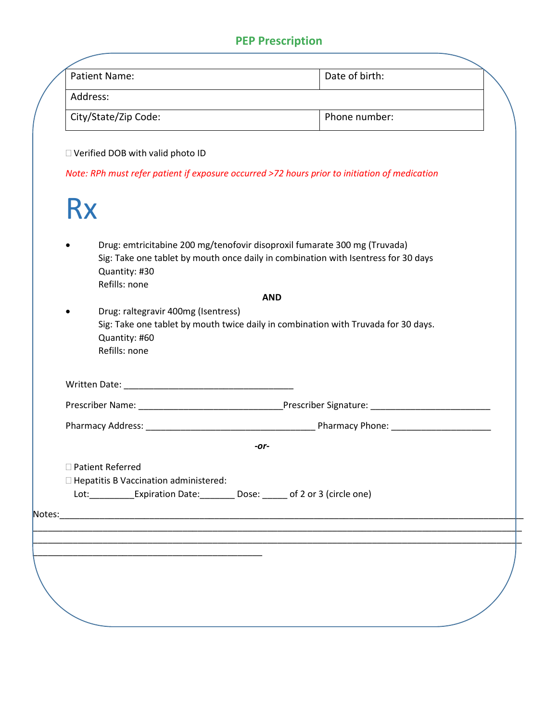# **PEP Prescription**

| Patient Name:                                                         | Date of birth:                                                                                                                                                  |
|-----------------------------------------------------------------------|-----------------------------------------------------------------------------------------------------------------------------------------------------------------|
| Address:                                                              | <u> 1980 - Johann Barn, mars ann an t-Amhain Aonaich an t-Aonaich an t-Aonaich ann an t-Aonaich ann an t-Aonaich</u>                                            |
| City/State/Zip Code:                                                  | Phone number:                                                                                                                                                   |
| □ Verified DOB with valid photo ID                                    |                                                                                                                                                                 |
|                                                                       | Note: RPh must refer patient if exposure occurred >72 hours prior to initiation of medication                                                                   |
| <b>Rx</b>                                                             |                                                                                                                                                                 |
| Quantity: #30<br>Refills: none                                        | Drug: emtricitabine 200 mg/tenofovir disoproxil fumarate 300 mg (Truvada)<br>Sig: Take one tablet by mouth once daily in combination with Isentress for 30 days |
|                                                                       | <b>AND</b>                                                                                                                                                      |
| Drug: raltegravir 400mg (Isentress)<br>Quantity: #60<br>Refills: none | Sig: Take one tablet by mouth twice daily in combination with Truvada for 30 days.                                                                              |
|                                                                       |                                                                                                                                                                 |
|                                                                       |                                                                                                                                                                 |
|                                                                       |                                                                                                                                                                 |
|                                                                       |                                                                                                                                                                 |
|                                                                       | -or-                                                                                                                                                            |
|                                                                       |                                                                                                                                                                 |
| □ Patient Referred<br>$\Box$ Hepatitis B Vaccination administered:    | Lot: ______________Expiration Date: ___________ Dose: _______ of 2 or 3 (circle one)                                                                            |
|                                                                       |                                                                                                                                                                 |
|                                                                       |                                                                                                                                                                 |
|                                                                       |                                                                                                                                                                 |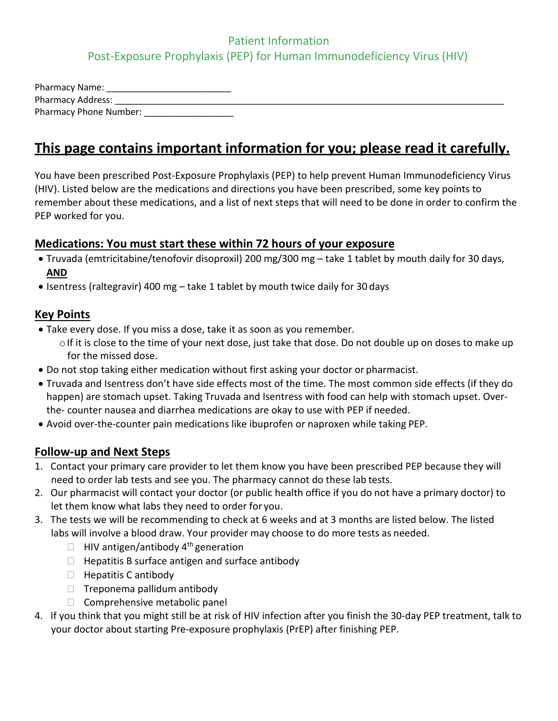# Patient Information Post-Exposure Prophylaxis (PEP) for Human Immunodeficiency Virus (HIV)

| <b>Pharmacy Name:</b>         |
|-------------------------------|
| <b>Pharmacy Address:</b>      |
| <b>Pharmacy Phone Number:</b> |

# **This page contains important information for you; please read it carefully.**

You have been prescribed Post-Exposure Prophylaxis (PEP) to help prevent Human Immunodeficiency Virus (HIV). Listed below are the medications and directions you have been prescribed, some key points to remember about these medications, and a list of next steps that will need to be done in order to confirm the PEP worked for you.

# **Medications: You must start these within 72 hours of your exposure**

- Truvada (emtricitabine/tenofovir disoproxil) 200 mg/300 mg take 1 tablet by mouth daily for 30 days, **AND**
- Isentress (raltegravir) 400 mg take 1 tablet by mouth twice daily for 30 days

# **Key Points**

- Take every dose. If you miss a dose, take it as soon as you remember.  $\circ$  If it is close to the time of your next dose, just take that dose. Do not double up on doses to make up for the missed dose.
- Do not stop taking either medication without first asking your doctor or pharmacist.
- Truvada and Isentress don't have side effects most of the time. The most common side effects (if they do happen) are stomach upset. Taking Truvada and Isentress with food can help with stomach upset. Overthe- counter nausea and diarrhea medications are okay to use with PEP if needed.
- Avoid over-the-counter pain medications like ibuprofen or naproxen while taking PEP.

# **Follow-up and Next Steps**

- 1. Contact your primary care provider to let them know you have been prescribed PEP because they will need to order lab tests and see you. The pharmacy cannot do these lab tests.
- 2. Our pharmacist will contact your doctor (or public health office if you do not have a primary doctor) to let them know what labs they need to order for you.
- 3. The tests we will be recommending to check at 6 weeks and at 3 months are listed below. The listed labs will involve a blood draw. Your provider may choose to do more tests as needed.
	- $\Box$  HIV antigen/antibody 4<sup>th</sup> generation
	- $\Box$  Hepatitis B surface antigen and surface antibody
	- $\Box$  Hepatitis C antibody
	- $\Box$  Treponema pallidum antibody
	- $\Box$  Comprehensive metabolic panel
- 4. If you think that you might still be at risk of HIV infection after you finish the 30-day PEP treatment, talk to your doctor about starting Pre-exposure prophylaxis (PrEP) after finishing PEP.